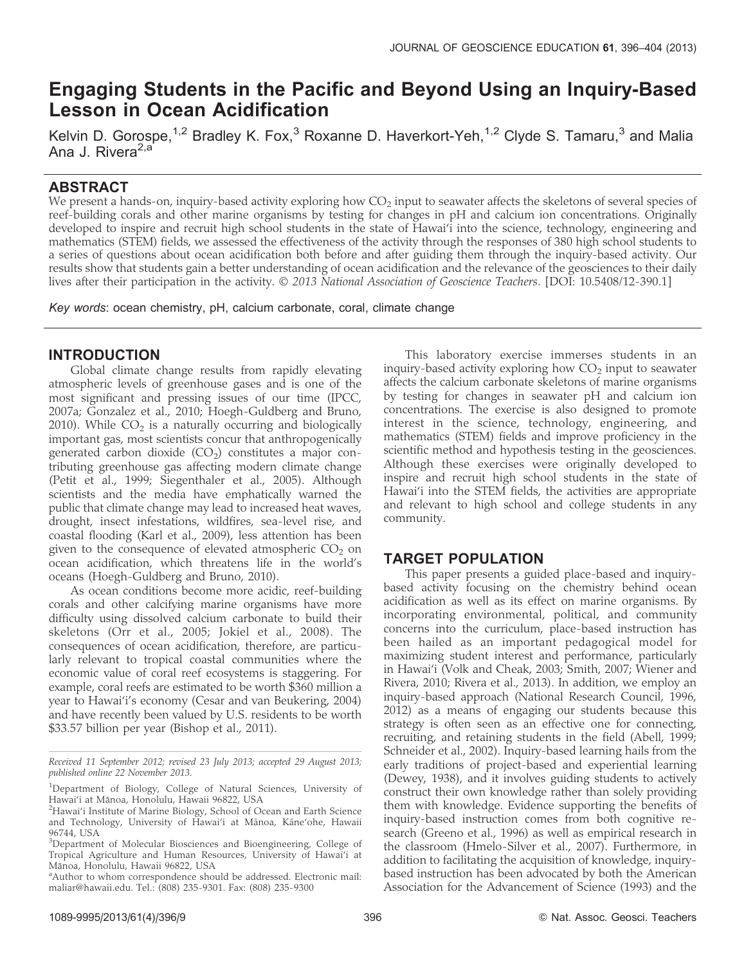# Engaging Students in the Pacific and Beyond Using an Inquiry-Based Lesson in Ocean Acidification

Kelvin D. Gorospe,<sup>1,2</sup> Bradley K. Fox,<sup>3</sup> Roxanne D. Haverkort-Yeh,<sup>1,2</sup> Clyde S. Tamaru,<sup>3</sup> and Malia Ana J. Rivera<sup>2,a</sup>

# ABSTRACT

We present a hands-on, inquiry-based activity exploring how  $CO<sub>2</sub>$  input to seawater affects the skeletons of several species of reef-building corals and other marine organisms by testing for changes in pH and calcium ion concentrations. Originally developed to inspire and recruit high school students in the state of Hawai'i into the science, technology, engineering and mathematics (STEM) fields, we assessed the effectiveness of the activity through the responses of 380 high school students to a series of questions about ocean acidification both before and after guiding them through the inquiry-based activity. Our results show that students gain a better understanding of ocean acidification and the relevance of the geosciences to their daily lives after their participation in the activity. © 2013 National Association of Geoscience Teachers. [DOI: 10.5408/12-390.1]

Key words: ocean chemistry, pH, calcium carbonate, coral, climate change

# INTRODUCTION

Global climate change results from rapidly elevating atmospheric levels of greenhouse gases and is one of the most significant and pressing issues of our time (IPCC, 2007a; Gonzalez et al., 2010; Hoegh-Guldberg and Bruno, 2010). While  $CO<sub>2</sub>$  is a naturally occurring and biologically important gas, most scientists concur that anthropogenically generated carbon dioxide  $(CO<sub>2</sub>)$  constitutes a major contributing greenhouse gas affecting modern climate change (Petit et al., 1999; Siegenthaler et al., 2005). Although scientists and the media have emphatically warned the public that climate change may lead to increased heat waves, drought, insect infestations, wildfires, sea-level rise, and coastal flooding (Karl et al., 2009), less attention has been given to the consequence of elevated atmospheric  $CO<sub>2</sub>$  on ocean acidification, which threatens life in the world's oceans (Hoegh-Guldberg and Bruno, 2010).

As ocean conditions become more acidic, reef-building corals and other calcifying marine organisms have more difficulty using dissolved calcium carbonate to build their skeletons (Orr et al., 2005; Jokiel et al., 2008). The consequences of ocean acidification, therefore, are particularly relevant to tropical coastal communities where the economic value of coral reef ecosystems is staggering. For example, coral reefs are estimated to be worth \$360 million a year to Hawai'i's economy (Cesar and van Beukering, 2004) and have recently been valued by U.S. residents to be worth \$33.57 billion per year (Bishop et al., 2011).

This laboratory exercise immerses students in an inquiry-based activity exploring how  $CO<sub>2</sub>$  input to seawater affects the calcium carbonate skeletons of marine organisms by testing for changes in seawater pH and calcium ion concentrations. The exercise is also designed to promote interest in the science, technology, engineering, and mathematics (STEM) fields and improve proficiency in the scientific method and hypothesis testing in the geosciences. Although these exercises were originally developed to inspire and recruit high school students in the state of Hawai'i into the STEM fields, the activities are appropriate and relevant to high school and college students in any community.

# TARGET POPULATION

This paper presents a guided place-based and inquirybased activity focusing on the chemistry behind ocean acidification as well as its effect on marine organisms. By incorporating environmental, political, and community concerns into the curriculum, place-based instruction has been hailed as an important pedagogical model for maximizing student interest and performance, particularly in Hawai'i (Volk and Cheak, 2003; Smith, 2007; Wiener and Rivera, 2010; Rivera et al., 2013). In addition, we employ an inquiry-based approach (National Research Council, 1996, 2012) as a means of engaging our students because this strategy is often seen as an effective one for connecting, recruiting, and retaining students in the field (Abell, 1999; Schneider et al., 2002). Inquiry-based learning hails from the early traditions of project-based and experiential learning (Dewey, 1938), and it involves guiding students to actively construct their own knowledge rather than solely providing them with knowledge. Evidence supporting the benefits of inquiry-based instruction comes from both cognitive research (Greeno et al., 1996) as well as empirical research in the classroom (Hmelo-Silver et al., 2007). Furthermore, in addition to facilitating the acquisition of knowledge, inquirybased instruction has been advocated by both the American Association for the Advancement of Science (1993) and the

Received 11 September 2012; revised 23 July 2013; accepted 29 August 2013; published online 22 November 2013.

<sup>&</sup>lt;sup>1</sup>Department of Biology, College of Natural Sciences, University of Hawai'i at Manoa, Honolulu, Hawaii 96822, USA ¯ <sup>2</sup>

<sup>&</sup>lt;sup>2</sup>Hawai'i Institute of Marine Biology, School of Ocean and Earth Science and Technology, University of Hawai'i at Mānoa, Kāne'ohe, Hawaii 96744, USA

<sup>&</sup>lt;sup>3</sup>Department of Molecular Biosciences and Bioengineering, College of Tropical Agriculture and Human Resources, University of Hawai'i at Mānoa, Honolulu, Hawaii 96822, USA

<sup>&</sup>lt;sup>a</sup> Author to whom correspondence should be addressed. Electronic mail: maliar@hawaii.edu. Tel.: (808) 235-9301. Fax: (808) 235-9300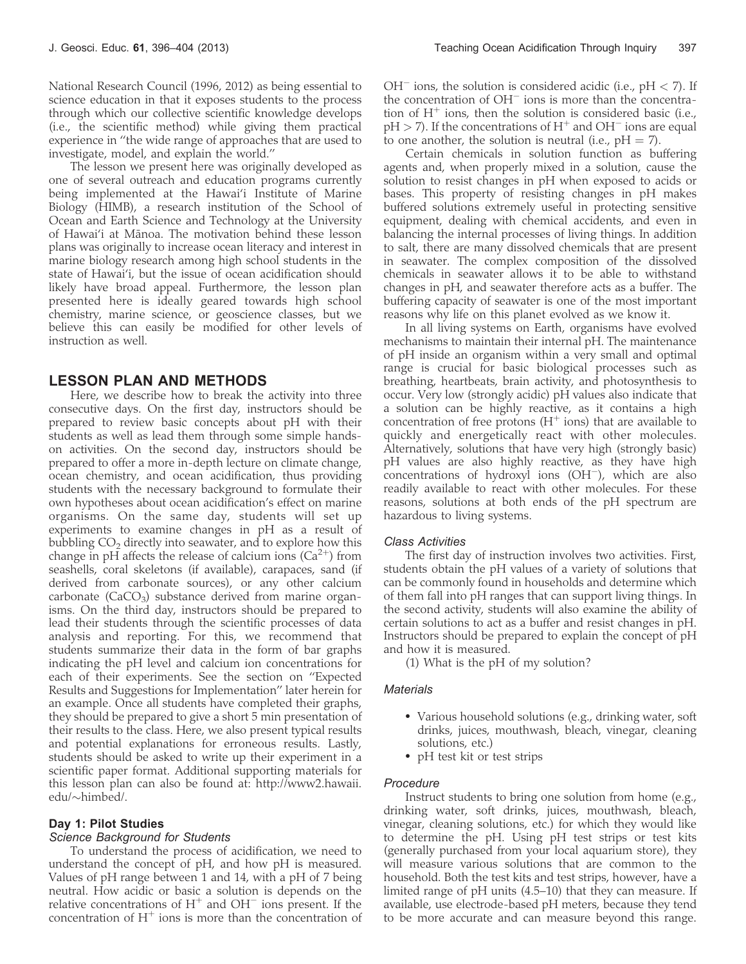National Research Council (1996, 2012) as being essential to science education in that it exposes students to the process through which our collective scientific knowledge develops (i.e., the scientific method) while giving them practical experience in ''the wide range of approaches that are used to investigate, model, and explain the world.''

The lesson we present here was originally developed as one of several outreach and education programs currently being implemented at the Hawai'i Institute of Marine Biology (HIMB), a research institution of the School of Ocean and Earth Science and Technology at the University of Hawai'i at Manoa. The motivation behind these lesson ¯ plans was originally to increase ocean literacy and interest in marine biology research among high school students in the state of Hawai'i, but the issue of ocean acidification should likely have broad appeal. Furthermore, the lesson plan presented here is ideally geared towards high school chemistry, marine science, or geoscience classes, but we believe this can easily be modified for other levels of instruction as well.

## LESSON PLAN AND METHODS

Here, we describe how to break the activity into three consecutive days. On the first day, instructors should be prepared to review basic concepts about pH with their students as well as lead them through some simple handson activities. On the second day, instructors should be prepared to offer a more in-depth lecture on climate change, ocean chemistry, and ocean acidification, thus providing students with the necessary background to formulate their own hypotheses about ocean acidification's effect on marine organisms. On the same day, students will set up experiments to examine changes in pH as a result of bubbling  $CO<sub>2</sub>$  directly into seawater, and to explore how this change in pH affects the release of calcium ions  $(Ca^{2+})$  from seashells, coral skeletons (if available), carapaces, sand (if derived from carbonate sources), or any other calcium carbonate ( $CaCO<sub>3</sub>$ ) substance derived from marine organisms. On the third day, instructors should be prepared to lead their students through the scientific processes of data analysis and reporting. For this, we recommend that students summarize their data in the form of bar graphs indicating the pH level and calcium ion concentrations for each of their experiments. See the section on ''Expected Results and Suggestions for Implementation'' later herein for an example. Once all students have completed their graphs, they should be prepared to give a short 5 min presentation of their results to the class. Here, we also present typical results and potential explanations for erroneous results. Lastly, students should be asked to write up their experiment in a scientific paper format. Additional supporting materials for this lesson plan can also be found at: http://www2.hawaii. edu/~himbed/.

### Day 1: Pilot Studies

#### Science Background for Students

To understand the process of acidification, we need to understand the concept of pH, and how pH is measured. Values of pH range between 1 and 14, with a pH of 7 being neutral. How acidic or basic a solution is depends on the relative concentrations of  $H^+$  and  $OH^-$  ions present. If the concentration of  $H^+$  ions is more than the concentration of

 $OH^-$  ions, the solution is considered acidic (i.e.,  $pH < 7$ ). If the concentration of  $OH^-$  ions is more than the concentration of  $H^+$  ions, then the solution is considered basic (i.e.,  $pH > 7$ ). If the concentrations of  $H^+$  and  $OH^-$  ions are equal to one another, the solution is neutral (i.e.,  $pH = 7$ ).

Certain chemicals in solution function as buffering agents and, when properly mixed in a solution, cause the solution to resist changes in pH when exposed to acids or bases. This property of resisting changes in pH makes buffered solutions extremely useful in protecting sensitive equipment, dealing with chemical accidents, and even in balancing the internal processes of living things. In addition to salt, there are many dissolved chemicals that are present in seawater. The complex composition of the dissolved chemicals in seawater allows it to be able to withstand changes in pH, and seawater therefore acts as a buffer. The buffering capacity of seawater is one of the most important reasons why life on this planet evolved as we know it.

In all living systems on Earth, organisms have evolved mechanisms to maintain their internal pH. The maintenance of pH inside an organism within a very small and optimal range is crucial for basic biological processes such as breathing, heartbeats, brain activity, and photosynthesis to occur. Very low (strongly acidic) pH values also indicate that a solution can be highly reactive, as it contains a high concentration of free protons  $(H^+)$  ions) that are available to quickly and energetically react with other molecules. Alternatively, solutions that have very high (strongly basic) pH values are also highly reactive, as they have high concentrations of hydroxyl ions  $(OH^-)$ , which are also readily available to react with other molecules. For these reasons, solutions at both ends of the pH spectrum are hazardous to living systems.

#### Class Activities

The first day of instruction involves two activities. First, students obtain the pH values of a variety of solutions that can be commonly found in households and determine which of them fall into pH ranges that can support living things. In the second activity, students will also examine the ability of certain solutions to act as a buffer and resist changes in pH. Instructors should be prepared to explain the concept of pH and how it is measured.

(1) What is the pH of my solution?

#### **Materials**

- Various household solutions (e.g., drinking water, soft drinks, juices, mouthwash, bleach, vinegar, cleaning solutions, etc.)
- pH test kit or test strips

#### Procedure

Instruct students to bring one solution from home (e.g., drinking water, soft drinks, juices, mouthwash, bleach, vinegar, cleaning solutions, etc.) for which they would like to determine the pH. Using pH test strips or test kits (generally purchased from your local aquarium store), they will measure various solutions that are common to the household. Both the test kits and test strips, however, have a limited range of pH units (4.5–10) that they can measure. If available, use electrode-based pH meters, because they tend to be more accurate and can measure beyond this range.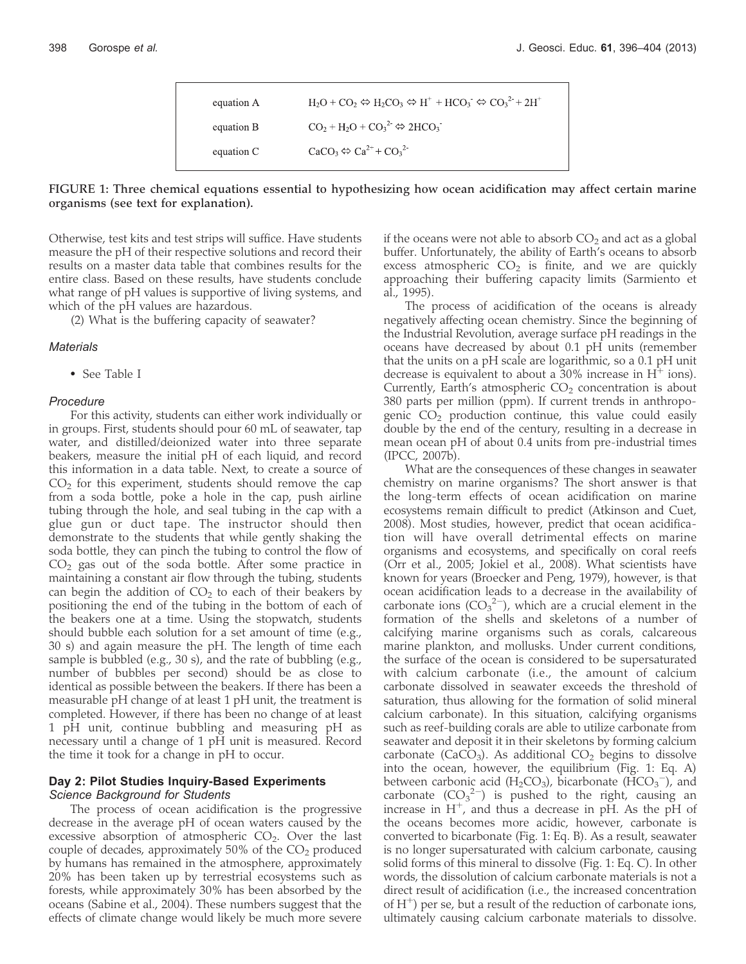| equation A | $H_2O$ + $CO_2 \Leftrightarrow H_2CO_3 \Leftrightarrow H^+ + HCO_3 \Leftrightarrow CO_3^2 + 2H^+$ |
|------------|---------------------------------------------------------------------------------------------------|
| equation B | $CO2 + H2O + CO32 \Leftrightarrow 2HCO3$                                                          |
| equation C | $CaCO3 \Leftrightarrow Ca2+ + CO32$                                                               |

#### FIGURE 1: Three chemical equations essential to hypothesizing how ocean acidification may affect certain marine organisms (see text for explanation).

Otherwise, test kits and test strips will suffice. Have students measure the pH of their respective solutions and record their results on a master data table that combines results for the entire class. Based on these results, have students conclude what range of pH values is supportive of living systems, and which of the pH values are hazardous.

(2) What is the buffering capacity of seawater?

#### **Materials**

- See Table I

#### Procedure

For this activity, students can either work individually or in groups. First, students should pour 60 mL of seawater, tap water, and distilled/deionized water into three separate beakers, measure the initial pH of each liquid, and record this information in a data table. Next, to create a source of  $CO<sub>2</sub>$  for this experiment, students should remove the cap from a soda bottle, poke a hole in the cap, push airline tubing through the hole, and seal tubing in the cap with a glue gun or duct tape. The instructor should then demonstrate to the students that while gently shaking the soda bottle, they can pinch the tubing to control the flow of  $CO<sub>2</sub>$  gas out of the soda bottle. After some practice in maintaining a constant air flow through the tubing, students can begin the addition of  $CO<sub>2</sub>$  to each of their beakers by positioning the end of the tubing in the bottom of each of the beakers one at a time. Using the stopwatch, students should bubble each solution for a set amount of time (e.g., 30 s) and again measure the pH. The length of time each sample is bubbled (e.g., 30 s), and the rate of bubbling (e.g., number of bubbles per second) should be as close to identical as possible between the beakers. If there has been a measurable pH change of at least 1 pH unit, the treatment is completed. However, if there has been no change of at least 1 pH unit, continue bubbling and measuring pH as necessary until a change of 1 pH unit is measured. Record the time it took for a change in pH to occur.

# Day 2: Pilot Studies Inquiry-Based Experiments

#### Science Background for Students

The process of ocean acidification is the progressive decrease in the average pH of ocean waters caused by the excessive absorption of atmospheric  $CO<sub>2</sub>$ . Over the last couple of decades, approximately 50% of the  $CO<sub>2</sub>$  produced by humans has remained in the atmosphere, approximately 20% has been taken up by terrestrial ecosystems such as forests, while approximately 30% has been absorbed by the oceans (Sabine et al., 2004). These numbers suggest that the effects of climate change would likely be much more severe

if the oceans were not able to absorb  $CO<sub>2</sub>$  and act as a global buffer. Unfortunately, the ability of Earth's oceans to absorb excess atmospheric  $CO<sub>2</sub>$  is finite, and we are quickly approaching their buffering capacity limits (Sarmiento et al., 1995).

The process of acidification of the oceans is already negatively affecting ocean chemistry. Since the beginning of the Industrial Revolution, average surface pH readings in the oceans have decreased by about 0.1 pH units (remember that the units on a pH scale are logarithmic, so a 0.1 pH unit decrease is equivalent to about a 30% increase in  $H^+$  ions). Currently, Earth's atmospheric  $CO<sub>2</sub>$  concentration is about 380 parts per million (ppm). If current trends in anthropogenic  $CO<sub>2</sub>$  production continue, this value could easily double by the end of the century, resulting in a decrease in mean ocean pH of about 0.4 units from pre-industrial times (IPCC, 2007b).

What are the consequences of these changes in seawater chemistry on marine organisms? The short answer is that the long-term effects of ocean acidification on marine ecosystems remain difficult to predict (Atkinson and Cuet, 2008). Most studies, however, predict that ocean acidification will have overall detrimental effects on marine organisms and ecosystems, and specifically on coral reefs (Orr et al., 2005; Jokiel et al., 2008). What scientists have known for years (Broecker and Peng, 1979), however, is that ocean acidification leads to a decrease in the availability of carbonate ions  $(CO_3^2)$ , which are a crucial element in the formation of the shells and skeletons of a number of calcifying marine organisms such as corals, calcareous marine plankton, and mollusks. Under current conditions, the surface of the ocean is considered to be supersaturated with calcium carbonate (i.e., the amount of calcium carbonate dissolved in seawater exceeds the threshold of saturation, thus allowing for the formation of solid mineral calcium carbonate). In this situation, calcifying organisms such as reef-building corals are able to utilize carbonate from seawater and deposit it in their skeletons by forming calcium carbonate (CaCO<sub>3</sub>). As additional  $CO<sub>2</sub>$  begins to dissolve into the ocean, however, the equilibrium (Fig. 1: Eq. A) between carbonic acid ( $H_2CO_3$ ), bicarbonate ( $\text{HCO}_3^-$ ), and carbonate  $(CO_3^2)$  is pushed to the right, causing an increase in  $H^+$ , and thus a decrease in pH. As the pH of the oceans becomes more acidic, however, carbonate is converted to bicarbonate (Fig. 1: Eq. B). As a result, seawater is no longer supersaturated with calcium carbonate, causing solid forms of this mineral to dissolve (Fig. 1: Eq. C). In other words, the dissolution of calcium carbonate materials is not a direct result of acidification (i.e., the increased concentration of  $H^+$ ) per se, but a result of the reduction of carbonate ions, ultimately causing calcium carbonate materials to dissolve.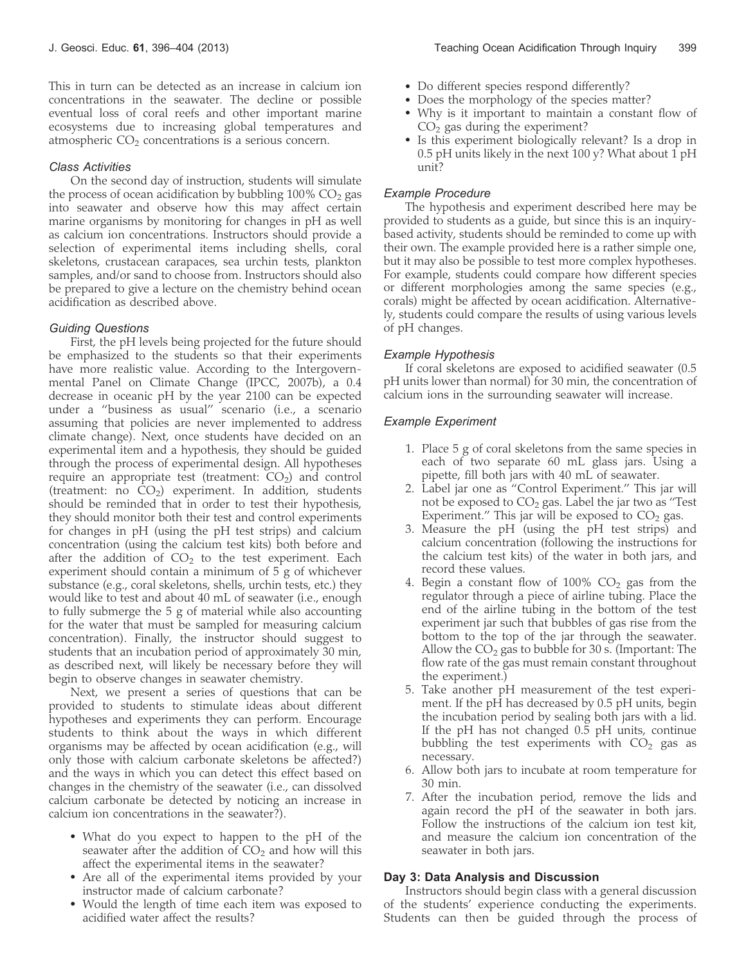This in turn can be detected as an increase in calcium ion concentrations in the seawater. The decline or possible eventual loss of coral reefs and other important marine ecosystems due to increasing global temperatures and atmospheric  $CO<sub>2</sub>$  concentrations is a serious concern.

#### Class Activities

On the second day of instruction, students will simulate the process of ocean acidification by bubbling  $100\%$  CO<sub>2</sub> gas into seawater and observe how this may affect certain marine organisms by monitoring for changes in pH as well as calcium ion concentrations. Instructors should provide a selection of experimental items including shells, coral skeletons, crustacean carapaces, sea urchin tests, plankton samples, and/or sand to choose from. Instructors should also be prepared to give a lecture on the chemistry behind ocean acidification as described above.

#### Guiding Questions

First, the pH levels being projected for the future should be emphasized to the students so that their experiments have more realistic value. According to the Intergovernmental Panel on Climate Change (IPCC, 2007b), a 0.4 decrease in oceanic pH by the year 2100 can be expected under a ''business as usual'' scenario (i.e., a scenario assuming that policies are never implemented to address climate change). Next, once students have decided on an experimental item and a hypothesis, they should be guided through the process of experimental design. All hypotheses require an appropriate test (treatment:  $CO<sub>2</sub>$ ) and control (treatment: no  $CO<sub>2</sub>$ ) experiment. In addition, students should be reminded that in order to test their hypothesis, they should monitor both their test and control experiments for changes in pH (using the pH test strips) and calcium concentration (using the calcium test kits) both before and after the addition of  $CO<sub>2</sub>$  to the test experiment. Each experiment should contain a minimum of 5 g of whichever substance (e.g., coral skeletons, shells, urchin tests, etc.) they would like to test and about 40 mL of seawater (i.e., enough to fully submerge the 5 g of material while also accounting for the water that must be sampled for measuring calcium concentration). Finally, the instructor should suggest to students that an incubation period of approximately 30 min, as described next, will likely be necessary before they will begin to observe changes in seawater chemistry.

Next, we present a series of questions that can be provided to students to stimulate ideas about different hypotheses and experiments they can perform. Encourage students to think about the ways in which different organisms may be affected by ocean acidification (e.g., will only those with calcium carbonate skeletons be affected?) and the ways in which you can detect this effect based on changes in the chemistry of the seawater (i.e., can dissolved calcium carbonate be detected by noticing an increase in calcium ion concentrations in the seawater?).

- What do you expect to happen to the pH of the seawater after the addition of  $CO<sub>2</sub>$  and how will this affect the experimental items in the seawater?
- Are all of the experimental items provided by your instructor made of calcium carbonate?
- Would the length of time each item was exposed to acidified water affect the results?
- Do different species respond differently?
- Does the morphology of the species matter?
- Why is it important to maintain a constant flow of  $CO<sub>2</sub>$  gas during the experiment?
- Is this experiment biologically relevant? Is a drop in 0.5 pH units likely in the next 100 y? What about 1 pH unit?

## Example Procedure

The hypothesis and experiment described here may be provided to students as a guide, but since this is an inquirybased activity, students should be reminded to come up with their own. The example provided here is a rather simple one, but it may also be possible to test more complex hypotheses. For example, students could compare how different species or different morphologies among the same species (e.g., corals) might be affected by ocean acidification. Alternatively, students could compare the results of using various levels of pH changes.

#### Example Hypothesis

If coral skeletons are exposed to acidified seawater (0.5 pH units lower than normal) for 30 min, the concentration of calcium ions in the surrounding seawater will increase.

#### Example Experiment

- 1. Place 5 g of coral skeletons from the same species in each of two separate 60 mL glass jars. Using a pipette, fill both jars with 40 mL of seawater.
- 2. Label jar one as ''Control Experiment.'' This jar will not be exposed to  $CO<sub>2</sub>$  gas. Label the jar two as "Test Experiment." This jar will be exposed to  $CO<sub>2</sub>$  gas.
- 3. Measure the pH (using the pH test strips) and calcium concentration (following the instructions for the calcium test kits) of the water in both jars, and record these values.
- 4. Begin a constant flow of  $100\%$  CO<sub>2</sub> gas from the regulator through a piece of airline tubing. Place the end of the airline tubing in the bottom of the test experiment jar such that bubbles of gas rise from the bottom to the top of the jar through the seawater. Allow the  $CO<sub>2</sub>$  gas to bubble for 30 s. (Important: The flow rate of the gas must remain constant throughout the experiment.)
- 5. Take another pH measurement of the test experiment. If the pH has decreased by 0.5 pH units, begin the incubation period by sealing both jars with a lid. If the pH has not changed 0.5 pH units, continue bubbling the test experiments with  $CO<sub>2</sub>$  gas as necessary.
- 6. Allow both jars to incubate at room temperature for 30 min.
- 7. After the incubation period, remove the lids and again record the pH of the seawater in both jars. Follow the instructions of the calcium ion test kit, and measure the calcium ion concentration of the seawater in both jars.

#### Day 3: Data Analysis and Discussion

Instructors should begin class with a general discussion of the students' experience conducting the experiments. Students can then be guided through the process of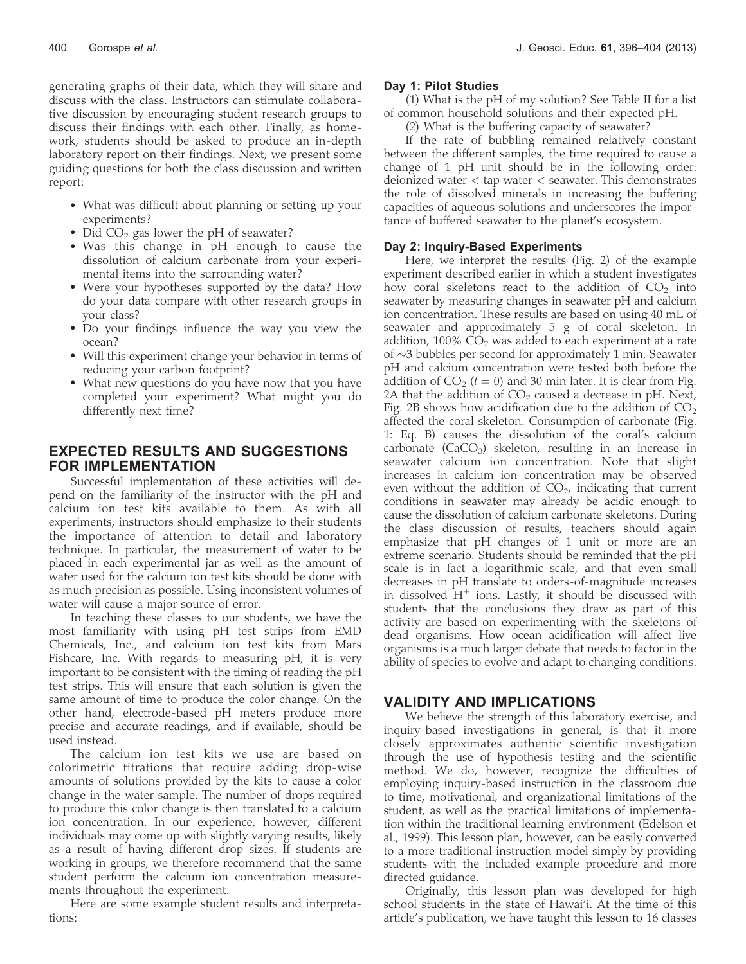generating graphs of their data, which they will share and discuss with the class. Instructors can stimulate collaborative discussion by encouraging student research groups to discuss their findings with each other. Finally, as homework, students should be asked to produce an in-depth laboratory report on their findings. Next, we present some guiding questions for both the class discussion and written report:

- What was difficult about planning or setting up your experiments?
- Did  $CO<sub>2</sub>$  gas lower the pH of seawater?
- Was this change in pH enough to cause the dissolution of calcium carbonate from your experimental items into the surrounding water?
- Were your hypotheses supported by the data? How do your data compare with other research groups in your class?
- Do your findings influence the way you view the ocean?
- Will this experiment change your behavior in terms of reducing your carbon footprint?
- What new questions do you have now that you have completed your experiment? What might you do differently next time?

# EXPECTED RESULTS AND SUGGESTIONS FOR IMPLEMENTATION

Successful implementation of these activities will depend on the familiarity of the instructor with the pH and calcium ion test kits available to them. As with all experiments, instructors should emphasize to their students the importance of attention to detail and laboratory technique. In particular, the measurement of water to be placed in each experimental jar as well as the amount of water used for the calcium ion test kits should be done with as much precision as possible. Using inconsistent volumes of water will cause a major source of error.

In teaching these classes to our students, we have the most familiarity with using pH test strips from EMD Chemicals, Inc., and calcium ion test kits from Mars Fishcare, Inc. With regards to measuring pH, it is very important to be consistent with the timing of reading the pH test strips. This will ensure that each solution is given the same amount of time to produce the color change. On the other hand, electrode-based pH meters produce more precise and accurate readings, and if available, should be used instead.

The calcium ion test kits we use are based on colorimetric titrations that require adding drop-wise amounts of solutions provided by the kits to cause a color change in the water sample. The number of drops required to produce this color change is then translated to a calcium ion concentration. In our experience, however, different individuals may come up with slightly varying results, likely as a result of having different drop sizes. If students are working in groups, we therefore recommend that the same student perform the calcium ion concentration measurements throughout the experiment.

Here are some example student results and interpretations:

#### Day 1: Pilot Studies

(1) What is the pH of my solution? See Table II for a list of common household solutions and their expected pH.

(2) What is the buffering capacity of seawater?

If the rate of bubbling remained relatively constant between the different samples, the time required to cause a change of 1 pH unit should be in the following order: deionized water < tap water < seawater. This demonstrates the role of dissolved minerals in increasing the buffering capacities of aqueous solutions and underscores the importance of buffered seawater to the planet's ecosystem.

### Day 2: Inquiry-Based Experiments

Here, we interpret the results (Fig. 2) of the example experiment described earlier in which a student investigates how coral skeletons react to the addition of  $CO<sub>2</sub>$  into seawater by measuring changes in seawater pH and calcium ion concentration. These results are based on using 40 mL of seawater and approximately 5 g of coral skeleton. In addition,  $100\%$  CO<sub>2</sub> was added to each experiment at a rate of  $\sim$ 3 bubbles per second for approximately 1 min. Seawater pH and calcium concentration were tested both before the addition of  $CO_2$  ( $t = 0$ ) and 30 min later. It is clear from Fig. 2A that the addition of  $CO<sub>2</sub>$  caused a decrease in pH. Next, Fig. 2B shows how acidification due to the addition of  $CO<sub>2</sub>$ affected the coral skeleton. Consumption of carbonate (Fig. 1: Eq. B) causes the dissolution of the coral's calcium carbonate  $(CaCO<sub>3</sub>)$  skeleton, resulting in an increase in seawater calcium ion concentration. Note that slight increases in calcium ion concentration may be observed even without the addition of  $CO<sub>2</sub>$ , indicating that current conditions in seawater may already be acidic enough to cause the dissolution of calcium carbonate skeletons. During the class discussion of results, teachers should again emphasize that pH changes of 1 unit or more are an extreme scenario. Students should be reminded that the pH scale is in fact a logarithmic scale, and that even small decreases in pH translate to orders-of-magnitude increases in dissolved  $H^+$  ions. Lastly, it should be discussed with students that the conclusions they draw as part of this activity are based on experimenting with the skeletons of dead organisms. How ocean acidification will affect live organisms is a much larger debate that needs to factor in the ability of species to evolve and adapt to changing conditions.

# VALIDITY AND IMPLICATIONS

We believe the strength of this laboratory exercise, and inquiry-based investigations in general, is that it more closely approximates authentic scientific investigation through the use of hypothesis testing and the scientific method. We do, however, recognize the difficulties of employing inquiry-based instruction in the classroom due to time, motivational, and organizational limitations of the student, as well as the practical limitations of implementation within the traditional learning environment (Edelson et al., 1999). This lesson plan, however, can be easily converted to a more traditional instruction model simply by providing students with the included example procedure and more directed guidance.

Originally, this lesson plan was developed for high school students in the state of Hawai'i. At the time of this article's publication, we have taught this lesson to 16 classes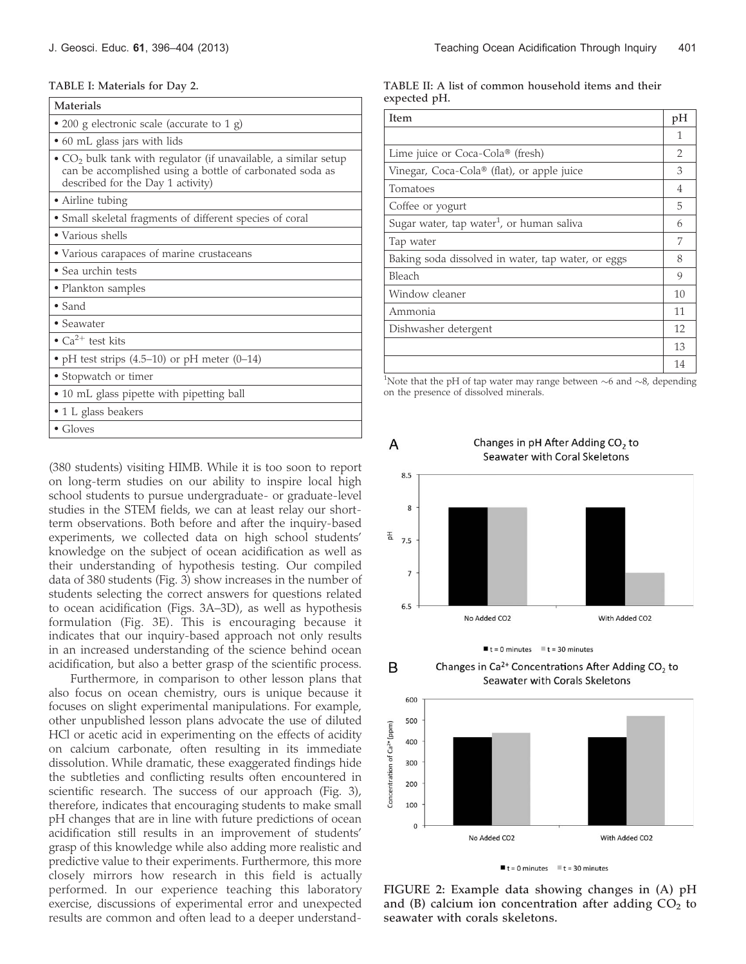#### TABLE I: Materials for Day 2.

• Gloves

| <b>Materials</b>                                                                                                                                                   |  |  |
|--------------------------------------------------------------------------------------------------------------------------------------------------------------------|--|--|
| • 200 g electronic scale (accurate to 1 g)                                                                                                                         |  |  |
| • 60 mL glass jars with lids                                                                                                                                       |  |  |
| • $CO2$ bulk tank with regulator (if unavailable, a similar setup<br>can be accomplished using a bottle of carbonated soda as<br>described for the Day 1 activity) |  |  |
| • Airline tubing                                                                                                                                                   |  |  |
| • Small skeletal fragments of different species of coral                                                                                                           |  |  |
| • Various shells                                                                                                                                                   |  |  |
| • Various carapaces of marine crustaceans                                                                                                                          |  |  |
| • Sea urchin tests                                                                                                                                                 |  |  |
| • Plankton samples                                                                                                                                                 |  |  |
| $\bullet$ Sand                                                                                                                                                     |  |  |
| • Seawater                                                                                                                                                         |  |  |
| • $Ca^{2+}$ test kits                                                                                                                                              |  |  |
| • pH test strips $(4.5-10)$ or pH meter $(0-14)$                                                                                                                   |  |  |
| • Stopwatch or timer                                                                                                                                               |  |  |
| • 10 mL glass pipette with pipetting ball                                                                                                                          |  |  |
| • 1 L glass beakers                                                                                                                                                |  |  |

(380 students) visiting HIMB. While it is too soon to report on long-term studies on our ability to inspire local high school students to pursue undergraduate- or graduate-level studies in the STEM fields, we can at least relay our shortterm observations. Both before and after the inquiry-based experiments, we collected data on high school students' knowledge on the subject of ocean acidification as well as their understanding of hypothesis testing. Our compiled data of 380 students (Fig. 3) show increases in the number of students selecting the correct answers for questions related to ocean acidification (Figs. 3A–3D), as well as hypothesis formulation (Fig. 3E). This is encouraging because it indicates that our inquiry-based approach not only results in an increased understanding of the science behind ocean acidification, but also a better grasp of the scientific process.

Furthermore, in comparison to other lesson plans that also focus on ocean chemistry, ours is unique because it focuses on slight experimental manipulations. For example, other unpublished lesson plans advocate the use of diluted HCl or acetic acid in experimenting on the effects of acidity on calcium carbonate, often resulting in its immediate dissolution. While dramatic, these exaggerated findings hide the subtleties and conflicting results often encountered in scientific research. The success of our approach (Fig. 3), therefore, indicates that encouraging students to make small pH changes that are in line with future predictions of ocean acidification still results in an improvement of students' grasp of this knowledge while also adding more realistic and predictive value to their experiments. Furthermore, this more closely mirrors how research in this field is actually performed. In our experience teaching this laboratory exercise, discussions of experimental error and unexpected results are common and often lead to a deeper understand-

#### TABLE II: A list of common household items and their expected pH.

| Item                                                  |    |
|-------------------------------------------------------|----|
|                                                       | 1  |
| Lime juice or Coca-Cola® (fresh)                      |    |
| Vinegar, Coca-Cola® (flat), or apple juice            |    |
| Tomatoes                                              |    |
| Coffee or yogurt                                      |    |
| Sugar water, tap water <sup>1</sup> , or human saliva |    |
| Tap water                                             |    |
| Baking soda dissolved in water, tap water, or eggs    |    |
| Bleach                                                |    |
| Window cleaner                                        |    |
| Ammonia                                               |    |
| Dishwasher detergent                                  |    |
|                                                       | 13 |
|                                                       | 14 |

<sup>1</sup>Note that the pH of tap water may range between  $\sim$ 6 and  $\sim$ 8, depending on the presence of dissolved minerals.



 $\blacksquare$  t = 0 minutes  $\blacksquare$  t = 30 minutes

Changes in  $Ca^{2+}$  Concentrations After Adding CO<sub>2</sub> to

B



 $t = 0$  minutes  $t = 30$  minutes

FIGURE 2: Example data showing changes in (A) pH and (B) calcium ion concentration after adding  $CO<sub>2</sub>$  to seawater with corals skeletons.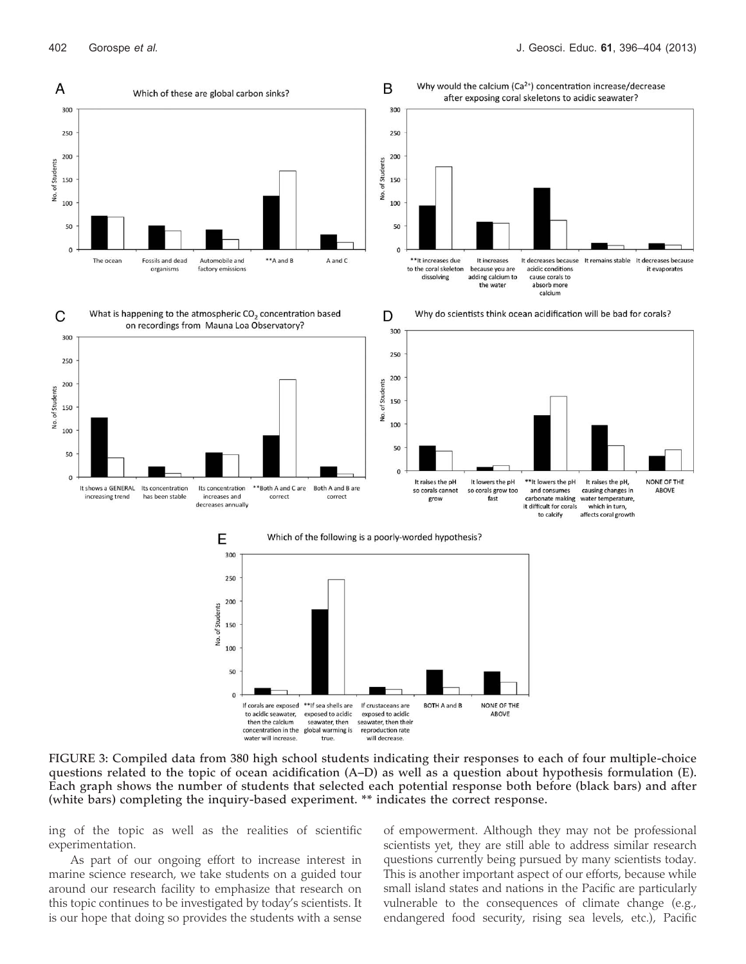

FIGURE 3: Compiled data from 380 high school students indicating their responses to each of four multiple-choice questions related to the topic of ocean acidification (A–D) as well as a question about hypothesis formulation (E). Each graph shows the number of students that selected each potential response both before (black bars) and after (white bars) completing the inquiry-based experiment. \*\* indicates the correct response.

ing of the topic as well as the realities of scientific experimentation.

As part of our ongoing effort to increase interest in marine science research, we take students on a guided tour around our research facility to emphasize that research on this topic continues to be investigated by today's scientists. It is our hope that doing so provides the students with a sense of empowerment. Although they may not be professional scientists yet, they are still able to address similar research questions currently being pursued by many scientists today. This is another important aspect of our efforts, because while small island states and nations in the Pacific are particularly vulnerable to the consequences of climate change (e.g., endangered food security, rising sea levels, etc.), Pacific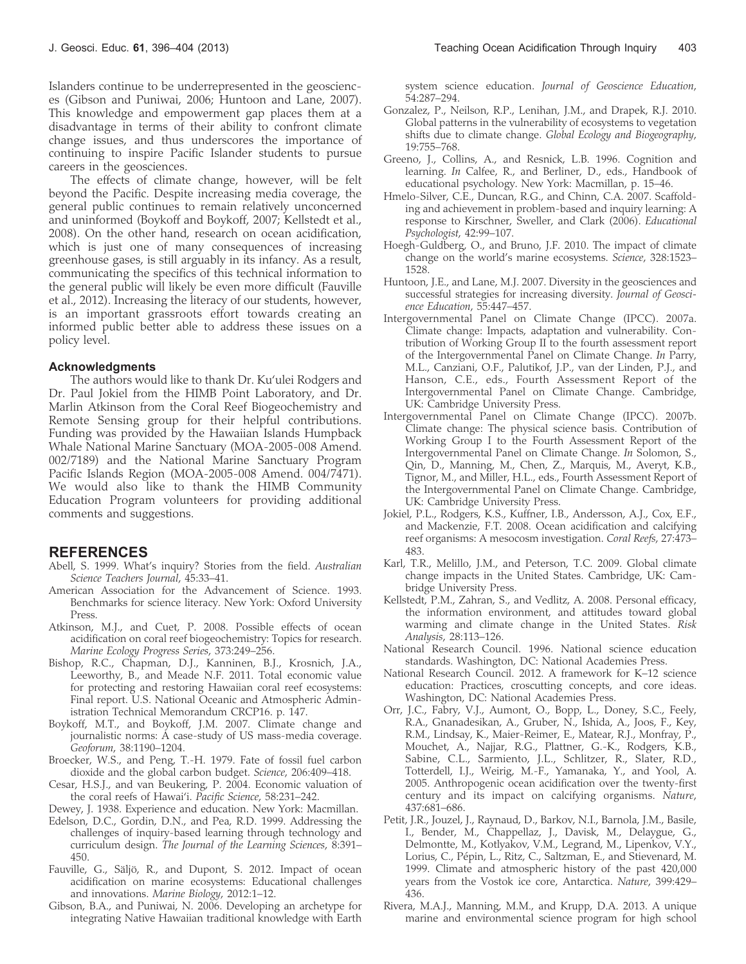Islanders continue to be underrepresented in the geosciences (Gibson and Puniwai, 2006; Huntoon and Lane, 2007). This knowledge and empowerment gap places them at a disadvantage in terms of their ability to confront climate change issues, and thus underscores the importance of continuing to inspire Pacific Islander students to pursue careers in the geosciences.

The effects of climate change, however, will be felt beyond the Pacific. Despite increasing media coverage, the general public continues to remain relatively unconcerned and uninformed (Boykoff and Boykoff, 2007; Kellstedt et al., 2008). On the other hand, research on ocean acidification, which is just one of many consequences of increasing greenhouse gases, is still arguably in its infancy. As a result, communicating the specifics of this technical information to the general public will likely be even more difficult (Fauville et al., 2012). Increasing the literacy of our students, however, is an important grassroots effort towards creating an informed public better able to address these issues on a policy level.

#### Acknowledgments

The authors would like to thank Dr. Ku'ulei Rodgers and Dr. Paul Jokiel from the HIMB Point Laboratory, and Dr. Marlin Atkinson from the Coral Reef Biogeochemistry and Remote Sensing group for their helpful contributions. Funding was provided by the Hawaiian Islands Humpback Whale National Marine Sanctuary (MOA-2005-008 Amend. 002/7189) and the National Marine Sanctuary Program Pacific Islands Region (MOA-2005-008 Amend. 004/7471). We would also like to thank the HIMB Community Education Program volunteers for providing additional comments and suggestions.

# REFERENCES

- Abell, S. 1999. What's inquiry? Stories from the field. Australian Science Teachers Journal, 45:33–41.
- American Association for the Advancement of Science. 1993. Benchmarks for science literacy. New York: Oxford University Press.
- Atkinson, M.J., and Cuet, P. 2008. Possible effects of ocean acidification on coral reef biogeochemistry: Topics for research. Marine Ecology Progress Series, 373:249–256.
- Bishop, R.C., Chapman, D.J., Kanninen, B.J., Krosnich, J.A., Leeworthy, B., and Meade N.F. 2011. Total economic value for protecting and restoring Hawaiian coral reef ecosystems: Final report. U.S. National Oceanic and Atmospheric Administration Technical Memorandum CRCP16. p. 147.
- Boykoff, M.T., and Boykoff, J.M. 2007. Climate change and journalistic norms: A case-study of US mass-media coverage. Geoforum, 38:1190–1204.
- Broecker, W.S., and Peng, T.-H. 1979. Fate of fossil fuel carbon dioxide and the global carbon budget. Science, 206:409–418.
- Cesar, H.S.J., and van Beukering, P. 2004. Economic valuation of the coral reefs of Hawai'i. Pacific Science, 58:231–242.

Dewey, J. 1938. Experience and education. New York: Macmillan.

- Edelson, D.C., Gordin, D.N., and Pea, R.D. 1999. Addressing the challenges of inquiry-based learning through technology and curriculum design. The Journal of the Learning Sciences, 8:391– 450.
- Fauville, G., Säljö, R., and Dupont, S. 2012. Impact of ocean acidification on marine ecosystems: Educational challenges and innovations. Marine Biology, 2012:1–12.
- Gibson, B.A., and Puniwai, N. 2006. Developing an archetype for integrating Native Hawaiian traditional knowledge with Earth

system science education. Journal of Geoscience Education, 54:287–294.

- Gonzalez, P., Neilson, R.P., Lenihan, J.M., and Drapek, R.J. 2010. Global patterns in the vulnerability of ecosystems to vegetation shifts due to climate change. Global Ecology and Biogeography, 19:755–768.
- Greeno, J., Collins, A., and Resnick, L.B. 1996. Cognition and learning. In Calfee, R., and Berliner, D., eds., Handbook of educational psychology. New York: Macmillan, p. 15–46.
- Hmelo-Silver, C.E., Duncan, R.G., and Chinn, C.A. 2007. Scaffolding and achievement in problem-based and inquiry learning: A response to Kirschner, Sweller, and Clark (2006). Educational Psychologist, 42:99–107.
- Hoegh-Guldberg, O., and Bruno, J.F. 2010. The impact of climate change on the world's marine ecosystems. Science, 328:1523– 1528.
- Huntoon, J.E., and Lane, M.J. 2007. Diversity in the geosciences and successful strategies for increasing diversity. Journal of Geoscience Education, 55:447–457.
- Intergovernmental Panel on Climate Change (IPCC). 2007a. Climate change: Impacts, adaptation and vulnerability. Contribution of Working Group II to the fourth assessment report of the Intergovernmental Panel on Climate Change. In Parry, M.L., Canziani, O.F., Palutikof, J.P., van der Linden, P.J., and Hanson, C.E., eds., Fourth Assessment Report of the Intergovernmental Panel on Climate Change. Cambridge, UK: Cambridge University Press.
- Intergovernmental Panel on Climate Change (IPCC). 2007b. Climate change: The physical science basis. Contribution of Working Group I to the Fourth Assessment Report of the Intergovernmental Panel on Climate Change. In Solomon, S., Qin, D., Manning, M., Chen, Z., Marquis, M., Averyt, K.B., Tignor, M., and Miller, H.L., eds., Fourth Assessment Report of the Intergovernmental Panel on Climate Change. Cambridge, UK: Cambridge University Press.
- Jokiel, P.L., Rodgers, K.S., Kuffner, I.B., Andersson, A.J., Cox, E.F., and Mackenzie, F.T. 2008. Ocean acidification and calcifying reef organisms: A mesocosm investigation. Coral Reefs, 27:473– 483.
- Karl, T.R., Melillo, J.M., and Peterson, T.C. 2009. Global climate change impacts in the United States. Cambridge, UK: Cambridge University Press.
- Kellstedt, P.M., Zahran, S., and Vedlitz, A. 2008. Personal efficacy, the information environment, and attitudes toward global warming and climate change in the United States. Risk Analysis, 28:113–126.
- National Research Council. 1996. National science education standards. Washington, DC: National Academies Press.
- National Research Council. 2012. A framework for K–12 science education: Practices, croscutting concepts, and core ideas. Washington, DC: National Academies Press.
- Orr, J.C., Fabry, V.J., Aumont, O., Bopp, L., Doney, S.C., Feely, R.A., Gnanadesikan, A., Gruber, N., Ishida, A., Joos, F., Key, R.M., Lindsay, K., Maier-Reimer, E., Matear, R.J., Monfray, P., Mouchet, A., Najjar, R.G., Plattner, G.-K., Rodgers, K.B., Sabine, C.L., Sarmiento, J.L., Schlitzer, R., Slater, R.D., Totterdell, I.J., Weirig, M.-F., Yamanaka, Y., and Yool, A. 2005. Anthropogenic ocean acidification over the twenty-first century and its impact on calcifying organisms. Nature, 437:681–686.
- Petit, J.R., Jouzel, J., Raynaud, D., Barkov, N.I., Barnola, J.M., Basile, I., Bender, M., Chappellaz, J., Davisk, M., Delaygue, G., Delmontte, M., Kotlyakov, V.M., Legrand, M., Lipenkov, V.Y., Lorius, C., Pépin, L., Ritz, C., Saltzman, E., and Stievenard, M. 1999. Climate and atmospheric history of the past 420,000 years from the Vostok ice core, Antarctica. Nature, 399:429– 436.
- Rivera, M.A.J., Manning, M.M., and Krupp, D.A. 2013. A unique marine and environmental science program for high school